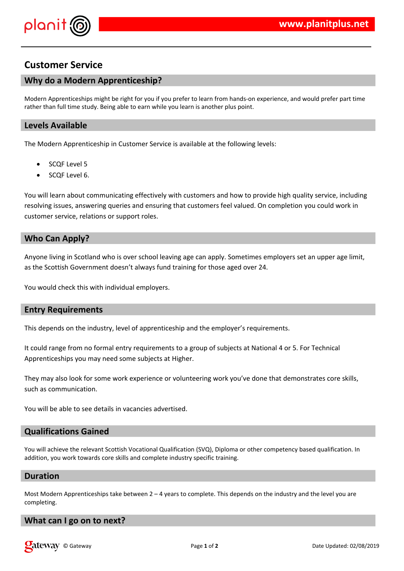

# **Customer Service**

## **Why do a Modern Apprenticeship?**

Modern Apprenticeships might be right for you if you prefer to learn from hands-on experience, and would prefer part time rather than full time study. Being able to earn while you learn is another plus point.

### **Levels Available**

The Modern Apprenticeship in Customer Service is available at the following levels:

- SCQF Level 5
- SCQF Level 6.

You will learn about communicating effectively with customers and how to provide high quality service, including resolving issues, answering queries and ensuring that customers feel valued. On completion you could work in customer service, relations or support roles.

#### **Who Can Apply?**

Anyone living in Scotland who is over school leaving age can apply. Sometimes employers set an upper age limit, as the Scottish Government doesn't always fund training for those aged over 24.

You would check this with individual employers.

### **Entry Requirements**

This depends on the industry, level of apprenticeship and the employer's requirements.

It could range from no formal entry requirements to a group of subjects at National 4 or 5. For Technical Apprenticeships you may need some subjects at Higher.

They may also look for some work experience or volunteering work you've done that demonstrates core skills, such as communication.

You will be able to see details in vacancies advertised.

#### **Qualifications Gained**

You will achieve the relevant Scottish Vocational Qualification (SVQ), Diploma or other competency based qualification. In addition, you work towards core skills and complete industry specific training.

#### **Duration**

Most Modern Apprenticeships take between  $2 - 4$  years to complete. This depends on the industry and the level you are completing.

#### **What can I go on to next?**